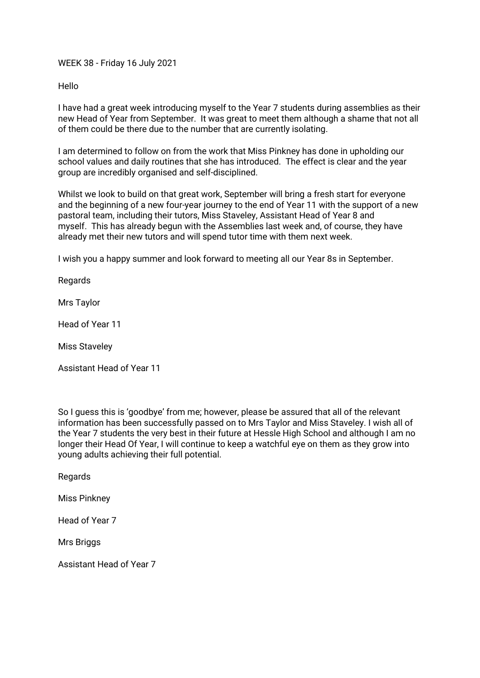WEEK 38 - Friday 16 July 2021

Hello

I have had a great week introducing myself to the Year 7 students during assemblies as their new Head of Year from September. It was great to meet them although a shame that not all of them could be there due to the number that are currently isolating.

I am determined to follow on from the work that Miss Pinkney has done in upholding our school values and daily routines that she has introduced. The effect is clear and the year group are incredibly organised and self-disciplined.

Whilst we look to build on that great work, September will bring a fresh start for everyone and the beginning of a new four-year journey to the end of Year 11 with the support of a new pastoral team, including their tutors, Miss Staveley, Assistant Head of Year 8 and myself. This has already begun with the Assemblies last week and, of course, they have already met their new tutors and will spend tutor time with them next week.

I wish you a happy summer and look forward to meeting all our Year 8s in September.

Regards

Mrs Taylor

Head of Year 11

Miss Staveley

Assistant Head of Year 11

So I guess this is 'goodbye' from me; however, please be assured that all of the relevant information has been successfully passed on to Mrs Taylor and Miss Staveley. I wish all of the Year 7 students the very best in their future at Hessle High School and although I am no longer their Head Of Year, I will continue to keep a watchful eye on them as they grow into young adults achieving their full potential.

**Regards** 

Miss Pinkney

Head of Year 7

**Mrs Briggs**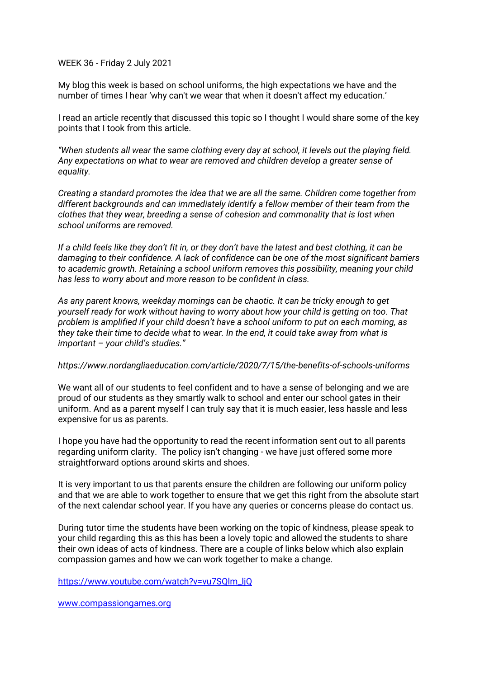WEEK 36 - Friday 2 July 2021

My blog this week is based on school uniforms, the high expectations we have and the number of times I hear 'why can't we wear that when it doesn't affect my education.'

I read an article recently that discussed this topic so I thought I would share some of the key points that I took from this article.

*"When students all wear the same clothing every day at school, it levels out the playing field. Any expectations on what to wear are removed and children develop a greater sense of equality.*

*Creating a standard promotes the idea that we are all the same. Children come together from different backgrounds and can immediately identify a fellow member of their team from the clothes that they wear, breeding a sense of cohesion and commonality that is lost when school uniforms are removed.*

*If a child feels like they don't fit in, or they don't have the latest and best clothing, it can be damaging to their confidence. A lack of confidence can be one of the most significant barriers to academic growth. Retaining a school uniform removes this possibility, meaning your child has less to worry about and more reason to be confident in class.*

*As any parent knows, weekday mornings can be chaotic. It can be tricky enough to get yourself ready for work without having to worry about how your child is getting on too. That problem is amplified if your child doesn't have a school uniform to put on each morning, as they take their time to decide what to wear. In the end, it could take away from what is important – your child's studies."*

#### *<https://www.nordangliaeducation.com/article/2020/7/15/the-benefits-of-schools-uniforms>*

We want all of our students to feel confident and to have a sense of belonging and we are proud of our students as they smartly walk to school and enter our school gates in their uniform. And as a parent myself I can truly say that it is much easier, less hassle and less expensive for us as parents.

I hope you have had the opportunity to read the recent information sent out to all parents regarding uniform clarity. The policy isn't changing - we have just offered some more straightforward options around skirts and shoes.

It is very important to us that parents ensure the children are following our uniform policy and that we are able to work together to ensure that we get this right from the absolute start of the next calendar school year. If you have any queries or concerns please do contact us.

During tutor time the students have been working on the topic of kindness, please speak to your child regarding this as this has been a lovely topic and allowed the students to share their own ideas of acts of kindness. There are a couple of links below which also explain compassion games and how we can work together to make a change.

[https://www.youtube.com/watch?v=vu7SQlm\\_ljQ](https://www.youtube.com/watch?v=vu7SQlm_ljQ)

[www.compassiongames.org](http://www.compassiongames.org/)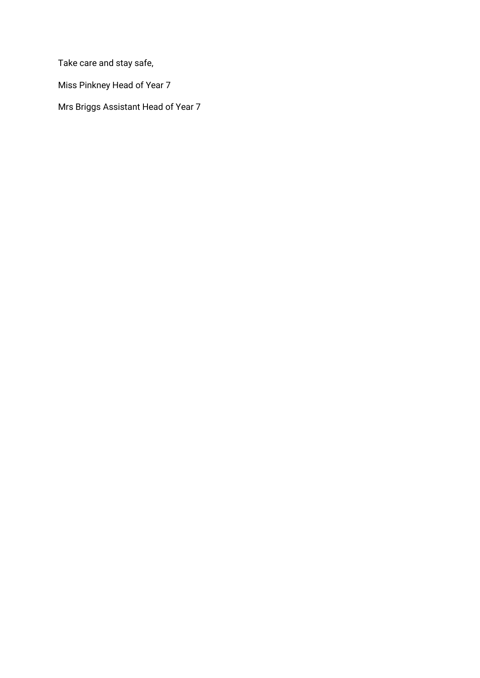Take care and stay safe,

Miss Pinkney Head of Year 7

Mrs Briggs Assistant Head of Year 7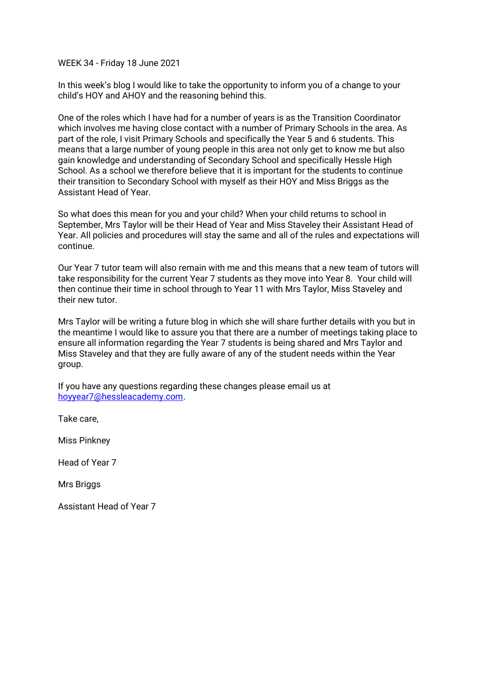WEEK 34 - Friday 18 June 2021

In this week's blog I would like to take the opportunity to inform you of a change to your child's HOY and AHOY and the reasoning behind this.

One of the roles which I have had for a number of years is as the Transition Coordinator which involves me having close contact with a number of Primary Schools in the area. As part of the role, I visit Primary Schools and specifically the Year 5 and 6 students. This means that a large number of young people in this area not only get to know me but also gain knowledge and understanding of Secondary School and specifically Hessle High School. As a school we therefore believe that it is important for the students to continue their transition to Secondary School with myself as their HOY and Miss Briggs as the Assistant Head of Year.

So what does this mean for you and your child? When your child returns to school in September, Mrs Taylor will be their Head of Year and Miss Staveley their Assistant Head of Year. All policies and procedures will stay the same and all of the rules and expectations will continue.

Our Year 7 tutor team will also remain with me and this means that a new team of tutors will take responsibility for the current Year 7 students as they move into Year 8. Your child will then continue their time in school through to Year 11 with Mrs Taylor, Miss Staveley and their new tutor.

Mrs Taylor will be writing a future blog in which she will share further details with you but in the meantime I would like to assure you that there are a number of meetings taking place to ensure all information regarding the Year 7 students is being shared and Mrs Taylor and Miss Staveley and that they are fully aware of any of the student needs within the Year group.

If you have any questions regarding these changes please email us at [hoyyear7@hessleacademy.com.](mailto:hoyyear7@hessleacademy.com)

Take care,

Miss Pinkney

Head of Year 7

**Mrs Briggs**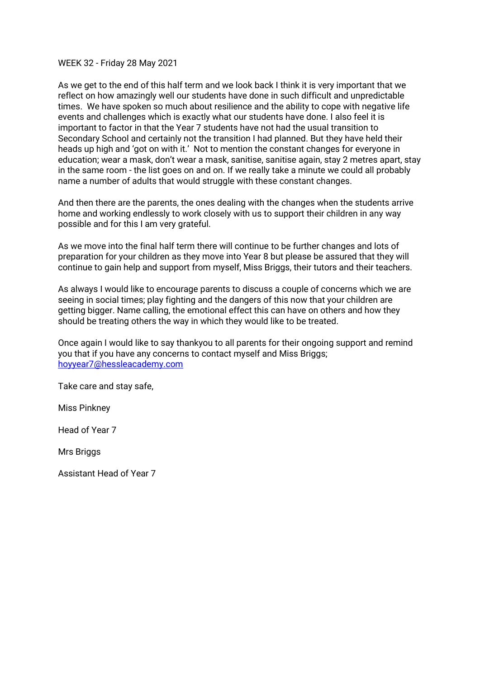# WEEK 32 - Friday 28 May 2021

As we get to the end of this half term and we look back I think it is very important that we reflect on how amazingly well our students have done in such difficult and unpredictable times. We have spoken so much about resilience and the ability to cope with negative life events and challenges which is exactly what our students have done. I also feel it is important to factor in that the Year 7 students have not had the usual transition to Secondary School and certainly not the transition I had planned. But they have held their heads up high and 'got on with it.' Not to mention the constant changes for everyone in education; wear a mask, don't wear a mask, sanitise, sanitise again, stay 2 metres apart, stay in the same room - the list goes on and on. If we really take a minute we could all probably name a number of adults that would struggle with these constant changes.

And then there are the parents, the ones dealing with the changes when the students arrive home and working endlessly to work closely with us to support their children in any way possible and for this I am very grateful.

As we move into the final half term there will continue to be further changes and lots of preparation for your children as they move into Year 8 but please be assured that they will continue to gain help and support from myself, Miss Briggs, their tutors and their teachers.

As always I would like to encourage parents to discuss a couple of concerns which we are seeing in social times; play fighting and the dangers of this now that your children are getting bigger. Name calling, the emotional effect this can have on others and how they should be treating others the way in which they would like to be treated.

Once again I would like to say thankyou to all parents for their ongoing support and remind you that if you have any concerns to contact myself and Miss Briggs; [hoyyear7@hessleacademy.com](mailto:hoyyear7@hessleacademy.com)

Take care and stay safe,

Miss Pinkney

Head of Year 7

Mrs Briggs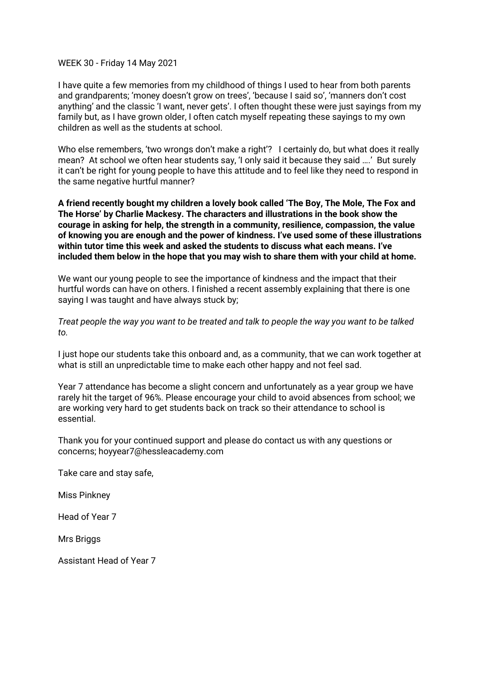## WEEK 30 - Friday 14 May 2021

I have quite a few memories from my childhood of things I used to hear from both parents and grandparents; 'money doesn't grow on trees', 'because I said so', 'manners don't cost anything' and the classic 'I want, never gets'. I often thought these were just sayings from my family but, as I have grown older, I often catch myself repeating these sayings to my own children as well as the students at school.

Who else remembers, 'two wrongs don't make a right'? I certainly do, but what does it really mean? At school we often hear students say, 'I only said it because they said ….' But surely it can't be right for young people to have this attitude and to feel like they need to respond in the same negative hurtful manner?

**A friend recently bought my children a lovely book called 'The Boy, The Mole, The Fox and The Horse' by Charlie Mackesy. The characters and illustrations in the book show the courage in asking for help, the strength in a community, resilience, compassion, the value of knowing you are enough and the power of kindness. I've used some of these illustrations within tutor time this week and asked the students to discuss what each means. I've included them below in the hope that you may wish to share them with your child at home.**

We want our young people to see the importance of kindness and the impact that their hurtful words can have on others. I finished a recent assembly explaining that there is one saying I was taught and have always stuck by;

*Treat people the way you want to be treated and talk to people the way you want to be talked to.*

I just hope our students take this onboard and, as a community, that we can work together at what is still an unpredictable time to make each other happy and not feel sad.

Year 7 attendance has become a slight concern and unfortunately as a year group we have rarely hit the target of 96%. Please encourage your child to avoid absences from school; we are working very hard to get students back on track so their attendance to school is essential.

Thank you for your continued support and please do contact us with any questions or concerns; hoyyear7@hessleacademy.com

Take care and stay safe,

Miss Pinkney

Head of Year 7

Mrs Briggs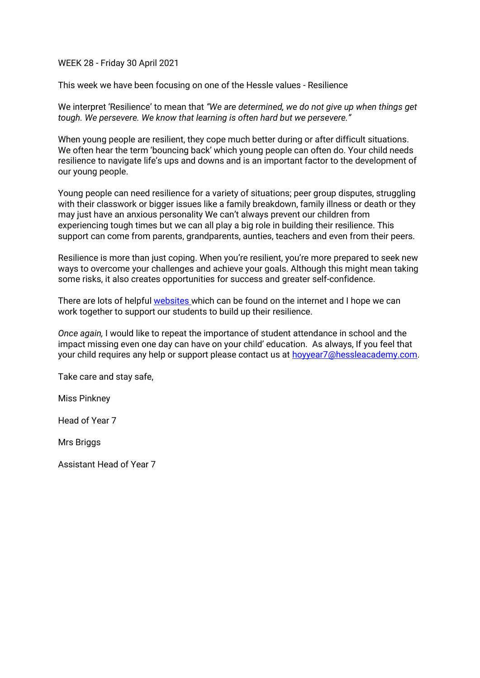## WEEK 28 - Friday 30 April 2021

This week we have been focusing on one of the Hessle values - Resilience

We interpret 'Resilience' to mean that *"We are determined, we do not give up when things get tough. We persevere. We know that learning is often hard but we persevere."*

When young people are resilient, they cope much better during or after difficult situations. We often hear the term 'bouncing back' which young people can often do. Your child needs resilience to navigate life's ups and downs and is an important factor to the development of our young people.

Young people can need resilience for a variety of situations; peer group disputes, struggling with their classwork or bigger issues like a family breakdown, family illness or death or they may just have an anxious personality We can't always prevent our children from experiencing tough times but we can all play a big role in building their resilience. This support can come from parents, grandparents, aunties, teachers and even from their peers.

Resilience is more than just coping. When you're resilient, you're more prepared to seek new ways to overcome your challenges and achieve your goals. Although this might mean taking some risks, it also creates opportunities for success and greater self-confidence.

There are lots of helpful [websites w](https://raisingchildren.net.au/pre-teens/development/social-emotional-development/resilience-in-teens#:~:text=When%20teenagers%20are%20resilient%2C%20they,important%20part%20of%20his%20development)hich can be found on the internet and I hope we can work together to support our students to build up their resilience.

*Once again,* I would like to repeat the importance of student attendance in school and the impact missing even one day can have on your child' education. As always, If you feel that your child requires any help or support please contact us at [hoyyear7@hessleacademy.com.](mailto:hoyyear7@hessleacademy.com)

Take care and stay safe,

Miss Pinkney

Head of Year 7

Mrs Briggs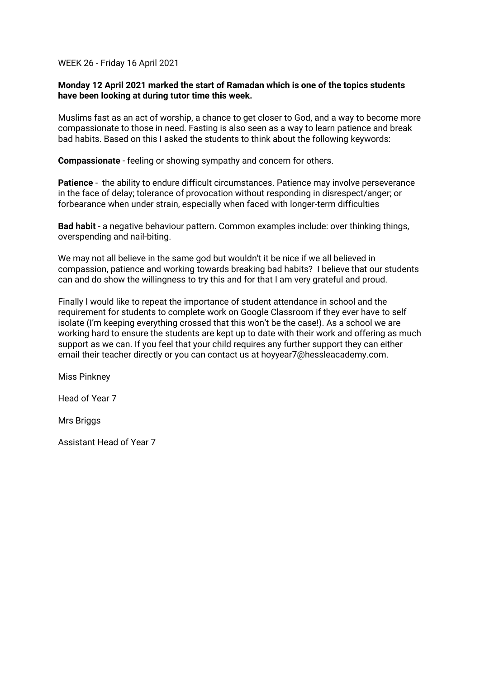# WEEK 26 - Friday 16 April 2021

# **Monday 12 April 2021 marked the start of Ramadan which is one of the topics students have been looking at during tutor time this week.**

Muslims fast as an act of worship, a chance to get closer to God, and a way to become more compassionate to those in need. Fasting is also seen as a way to learn patience and break bad habits. Based on this I asked the students to think about the following keywords:

**Compassionate** - feeling or showing sympathy and concern for others.

**Patience** - the ability to endure difficult circumstances. Patience may involve perseverance in the face of delay; tolerance of provocation without responding in disrespect/anger; or forbearance when under strain, especially when faced with longer-term difficulties

**Bad habit** - a negative behaviour pattern. Common examples include: over thinking things, overspending and nail-biting.

We may not all believe in the same god but wouldn't it be nice if we all believed in compassion, patience and working towards breaking bad habits? I believe that our students can and do show the willingness to try this and for that I am very grateful and proud.

Finally I would like to repeat the importance of student attendance in school and the requirement for students to complete work on Google Classroom if they ever have to self isolate (I'm keeping everything crossed that this won't be the case!). As a school we are working hard to ensure the students are kept up to date with their work and offering as much support as we can. If you feel that your child requires any further support they can either email their teacher directly or you can contact us at hoyyear7@hessleacademy.com.

Miss Pinkney

Head of Year 7

**Mrs Briggs**